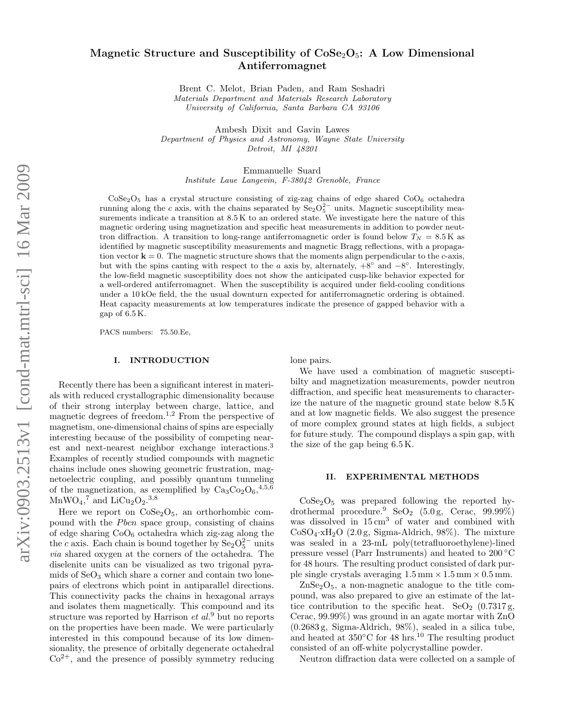# Magnetic Structure and Susceptibility of  $\text{CoSe}_2\text{O}_5$ : A Low Dimensional Antiferromagnet

Brent C. Melot, Brian Paden, and Ram Seshadri Materials Department and Materials Research Laboratory University of California, Santa Barbara CA 93106

Ambesh Dixit and Gavin Lawes Department of Physics and Astronomy, Wayne State University Detroit, MI 48201

Emmanuelle Suard

Institute Laue Langevin, F-38042 Grenoble, France

 $\text{CoSe}_2\text{O}_5$  has a crystal structure consisting of zig-zag chains of edge shared  $\text{CoO}_6$  octahedra running along the c axis, with the chains separated by  $\text{Se}_2\text{O}_5^{2-}$  units. Magnetic susceptibility measurements indicate a transition at 8.5 K to an ordered state. We investigate here the nature of this magnetic ordering using magnetization and specific heat measurements in addition to powder neuttron diffraction. A transition to long-range antiferromagnetic order is found below  $T_N = 8.5 \text{ K}$  as identified by magnetic susceptibility measurements and magnetic Bragg reflections, with a propagation vector  $\mathbf{k} = 0$ . The magnetic structure shows that the moments align perpendicular to the c-axis, but with the spins canting with respect to the a axis by, alternately,  $+8°$  and  $-8°$ . Interestingly, the low-field magnetic susceptibility does not show the anticipated cusp-like behavior expected for a well-ordered antiferromagnet. When the susceptibility is acquired under field-cooling conditions under a 10 kOe field, the the usual downturn expected for antiferromagnetic ordering is obtained. Heat capacity measurements at low temperatures indicate the presence of gapped behavior with a gap of 6.5 K.

PACS numbers: 75.50.Ee,

### I. INTRODUCTION

Recently there has been a significant interest in materials with reduced crystallographic dimensionality because of their strong interplay between charge, lattice, and magnetic degrees of freedom.<sup>1,2</sup> From the perspective of magnetism, one-dimensional chains of spins are especially interesting because of the possibility of competing nearest and next-nearest neighbor exchange interactions.<sup>3</sup> Examples of recently studied compounds with magnetic chains include ones showing geometric frustration, magnetoelectric coupling, and possibly quantum tunneling of the magnetization, as exemplified by  $Ca_3Co_2O_6, ^{4,5,6}$  $\text{MnWO}_4$ ,<sup>7</sup> and LiCu<sub>2</sub>O<sub>2</sub>.<sup>3,8</sup>

Here we report on  $\text{CoSe}_2\text{O}_5$ , an orthorhombic compound with the *Pbcn* space group, consisting of chains of edge sharing  $CoO<sub>6</sub>$  octahedra which zig-zag along the the c axis. Each chain is bound together by  $Se<sub>2</sub>O<sub>5</sub><sup>2-</sup>$  units via shared oxygen at the corners of the octahedra. The diselenite units can be visualized as two trigonal pyramids of  $SeO<sub>3</sub>$  which share a corner and contain two lonepairs of electrons which point in antiparallel directions. This connectivity packs the chains in hexagonal arrays and isolates them magnetically. This compound and its structure was reported by Harrison  $et al.^9$  but no reports on the properties have been made. We were particularly interested in this compound because of its low dimensionality, the presence of orbitally degenerate octahedral  $Co<sup>2+</sup>$ , and the presence of possibly symmetry reducing

lone pairs.

We have used a combination of magnetic susceptibilty and magnetization measurements, powder neutron diffraction, and specific heat measurements to characterize the nature of the magnetic ground state below 8.5 K and at low magnetic fields. We also suggest the presence of more complex ground states at high fields, a subject for future study. The compound displays a spin gap, with the size of the gap being 6.5 K.

### II. EXPERIMENTAL METHODS

 $CoSe<sub>2</sub>O<sub>5</sub>$  was prepared following the reported hydrothermal procedure.<sup>9</sup> SeO<sub>2</sub> (5.0 g, Cerac, 99.99%) was dissolved in  $15 \text{ cm}^3$  of water and combined with  $CoSO<sub>4</sub>·xH<sub>2</sub>O$  (2.0 g, Sigma-Aldrich, 98%). The mixture was sealed in a 23-mL poly(tetrafluoroethylene)-lined pressure vessel (Parr Instruments) and heated to 200 ◦C for 48 hours. The resulting product consisted of dark purple single crystals averaging  $1.5 \text{ mm} \times 1.5 \text{ mm} \times 0.5 \text{ mm}$ .

 $\text{ZnSe}_2\text{O}_5$ , a non-magnetic analogue to the title compound, was also prepared to give an estimate of the lattice contribution to the specific heat.  $\text{SeO}_2$  (0.7317 g, Cerac, 99.99%) was ground in an agate mortar with ZnO (0.2683 g, Sigma-Aldrich, 98%), sealed in a silica tube, and heated at  $350^{\circ}$ C for 48 hrs.<sup>10</sup> The resulting product consisted of an off-white polycrystalline powder.

Neutron diffraction data were collected on a sample of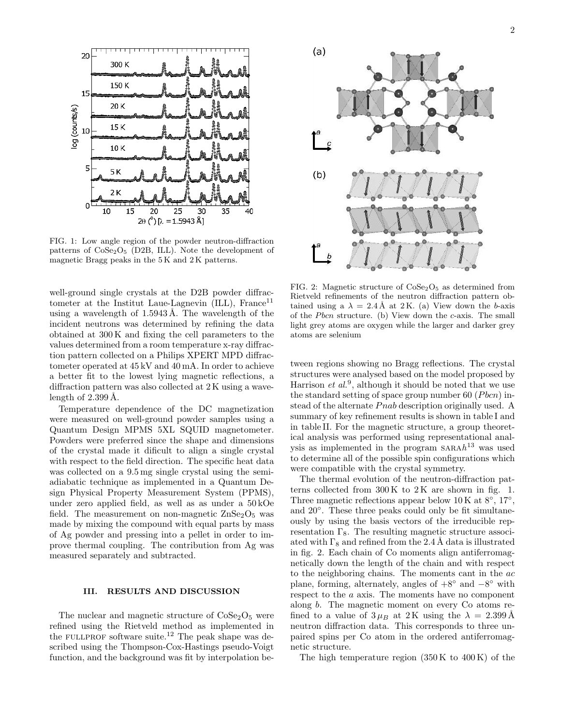

FIG. 1: Low angle region of the powder neutron-diffraction patterns of  $CoSe<sub>2</sub>O<sub>5</sub>$  (D2B, ILL). Note the development of magnetic Bragg peaks in the 5 K and 2 K patterns.

well-ground single crystals at the D2B powder diffractometer at the Institut Laue-Lagnevin  $(ILL)$ , France<sup>11</sup> using a wavelength of  $1.5943 \text{\AA}$ . The wavelength of the incident neutrons was determined by refining the data obtained at 300 K and fixing the cell parameters to the values determined from a room temperature x-ray diffraction pattern collected on a Philips XPERT MPD diffractometer operated at 45 kV and 40 mA. In order to achieve a better fit to the lowest lying magnetic reflections, a diffraction pattern was also collected at 2 K using a wavelength of  $2.399 \text{ Å}.$ 

Temperature dependence of the DC magnetization were measured on well-ground powder samples using a Quantum Design MPMS 5XL SQUID magnetometer. Powders were preferred since the shape and dimensions of the crystal made it dificult to align a single crystal with respect to the field direction. The specific heat data was collected on a 9.5 mg single crystal using the semiadiabatic technique as implemented in a Quantum Design Physical Property Measurement System (PPMS), under zero applied field, as well as as under a 50 kOe field. The measurement on non-magnetic  $\text{ZnSe}_2\text{O}_5$  was made by mixing the compound with equal parts by mass of Ag powder and pressing into a pellet in order to improve thermal coupling. The contribution from Ag was measured separately and subtracted.

## III. RESULTS AND DISCUSSION

The nuclear and magnetic structure of  $\text{CoSe}_2\text{O}_5$  were refined using the Rietveld method as implemented in the FULLPROF software suite.<sup>12</sup> The peak shape was described using the Thompson-Cox-Hastings pseudo-Voigt function, and the background was fit by interpolation be-



FIG. 2: Magnetic structure of  $\text{CoSe}_2\text{O}_5$  as determined from Rietveld refinements of the neutron diffraction pattern obtained using a  $\lambda = 2.4$  Å at 2 K. (a) View down the b-axis of the *Pbcn* structure. (b) View down the  $c$ -axis. The small light grey atoms are oxygen while the larger and darker grey atoms are selenium

tween regions showing no Bragg reflections. The crystal structures were analysed based on the model proposed by Harrison  $et al.^9$ , although it should be noted that we use the standard setting of space group number 60 ( $Pbcn$ ) instead of the alternate *Pnab* description originally used. A summary of key refinement results is shown in table I and in table II. For the magnetic structure, a group theoretical analysis was performed using representational analysis as implemented in the program  $\text{SARA} h^{13}$  was used to determine all of the possible spin configurations which were compatible with the crystal symmetry.

The thermal evolution of the neutron-diffraction patterns collected from  $300 \text{ K}$  to  $2 \text{ K}$  are shown in fig. 1. Three magnetic reflections appear below  $10 \text{ K}$  at  $8^{\circ}$ ,  $17^{\circ}$ , and 20°. These three peaks could only be fit simultaneously by using the basis vectors of the irreducible representation  $\Gamma_8$ . The resulting magnetic structure associated with  $\Gamma_8$  and refined from the 2.4 Å data is illustrated in fig. 2. Each chain of Co moments align antiferromagnetically down the length of the chain and with respect to the neighboring chains. The moments cant in the ac plane, forming, alternately, angles of  $+8°$  and  $-8°$  with respect to the a axis. The moments have no component along b. The magnetic moment on every Co atoms refined to a value of  $3 \mu_B$  at 2K using the  $\lambda = 2.399 \text{ Å}$ neutron diffraction data. This corresponds to three unpaired spins per Co atom in the ordered antiferromagnetic structure.

The high temperature region  $(350 \text{ K to } 400 \text{ K})$  of the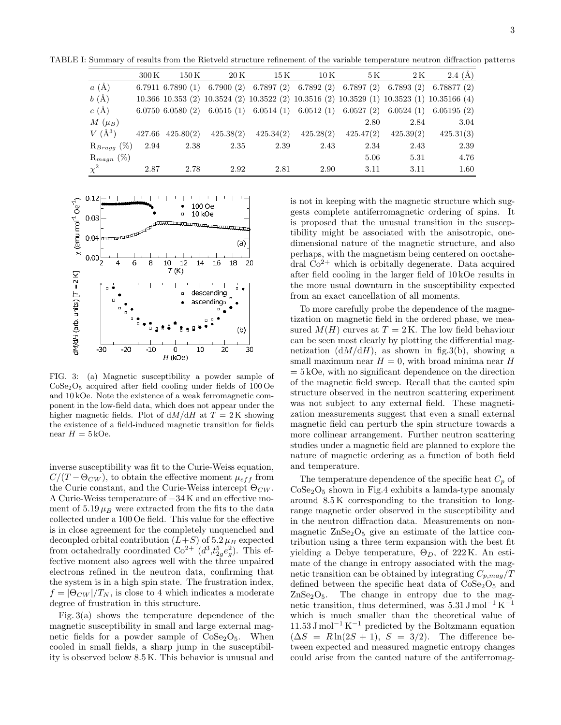TABLE I: Summary of results from the Rietveld structure refinement of the variable temperature neutron diffraction patterns

|                          | $300\,\mathrm{K}$ | $150\,\mathrm{K}$    | $20\,\mathrm{K}$ | 15 K      | $10\,\mathrm{K}$ | 5 K       | 2K        | 2.4(A)                                                                                               |
|--------------------------|-------------------|----------------------|------------------|-----------|------------------|-----------|-----------|------------------------------------------------------------------------------------------------------|
| $a(\AA)$                 |                   |                      |                  |           |                  |           |           | 6.7911 6.7890 (1) 6.7900 (2) 6.7897 (2) 6.7892 (2) 6.7897 (2) 6.7893 (2) 6.78877 (2)                 |
| $b(\AA)$                 |                   |                      |                  |           |                  |           |           | 10.366 10.353 (2) 10.3524 (2) 10.3522 (2) 10.3516 (2) 10.3529 (1) 10.3523 (1) 10.35166 (4)           |
| $c(\AA)$                 |                   |                      |                  |           |                  |           |           | $6.0750$ $6.0580$ (2) $6.0515$ (1) $6.0514$ (1) $6.0512$ (1) $6.0527$ (2) $6.0524$ (1) $6.05195$ (2) |
| $M(\mu_B)$               |                   |                      |                  |           |                  | 2.80      | 2.84      | 3.04                                                                                                 |
| $V(\AA^3)$               |                   | $427.66$ $425.80(2)$ | 425.38(2)        | 425.34(2) | 425.28(2)        | 425.47(2) | 425.39(2) | 425.31(3)                                                                                            |
| $\mathrm{R}_{Bragg}$ (%) | 2.94              | 2.38                 | 2.35             | 2.39      | 2.43             | 2.34      | 2.43      | 2.39                                                                                                 |
| $\mathrm{R}_{magn}$ (%)  |                   |                      |                  |           |                  | 5.06      | 5.31      | 4.76                                                                                                 |
| $\chi^2$                 | 2.87              | 2.78                 | 2.92             | 2.81      | 2.90             | 3.11      | 3.11      | 1.60                                                                                                 |



FIG. 3: (a) Magnetic susceptibility a powder sample of CoSe2O<sup>5</sup> acquired after field cooling under fields of 100 Oe and 10 kOe. Note the existence of a weak ferromagnetic component in the low-field data, which does not appear under the higher magnetic fields. Plot of  $dM/dH$  at  $T = 2K$  showing the existence of a field-induced magnetic transition for fields near  $H = 5 kOe$ .

inverse susceptibility was fit to the Curie-Weiss equation,  $C/(T - \Theta_{CW})$ , to obtain the effective moment  $\mu_{eff}$  from the Curie constant, and the Curie-Weiss intercept  $\Theta_{CW}$ . A Curie-Weiss temperature of −34 K and an effective moment of  $5.19 \mu_B$  were extracted from the fits to the data collected under a 100 Oe field. This value for the effective is in close agreement for the completely unquenched and decoupled orbital contribution  $(L+S)$  of  $5.2 \mu_B$  expected from octahedrally coordinated  $\text{Co}^{2+}((d^3, t_{2g}^5 e_g^2)$ . This effective moment also agrees well with the three unpaired electrons refined in the neutron data, confirming that the system is in a high spin state. The frustration index,  $f = |\Theta_{CW}|/T_N$ , is close to 4 which indicates a moderate degree of frustration in this structure.

Fig. 3(a) shows the temperature dependence of the magnetic susceptibility in small and large external magnetic fields for a powder sample of  $\text{CoSe}_2\text{O}_5$ . When cooled in small fields, a sharp jump in the susceptibility is observed below 8.5 K. This behavior is unusual and is not in keeping with the magnetic structure which suggests complete antiferromagnetic ordering of spins. It is proposed that the unusual transition in the susceptibility might be associated with the anisotropic, onedimensional nature of the magnetic structure, and also perhaps, with the magnetism being centered on ooctahedral  $Co<sup>2+</sup>$  which is orbitally degenerate. Data acquired after field cooling in the larger field of 10 kOe results in the more usual downturn in the susceptibility expected from an exact cancellation of all moments.

To more carefully probe the dependence of the magnetization on magnetic field in the ordered phase, we measured  $M(H)$  curves at  $T = 2K$ . The low field behaviour can be seen most clearly by plotting the differential magnetization  $(dM/dH)$ , as shown in fig.3(b), showing a small maximum near  $H = 0$ , with broad minima near H  $= 5 kOe$ , with no significant dependence on the direction of the magnetic field sweep. Recall that the canted spin structure observed in the neutron scattering experiment was not subject to any external field. These magnetization measurements suggest that even a small external magnetic field can perturb the spin structure towards a more collinear arrangement. Further neutron scattering studies under a magnetic field are planned to explore the nature of magnetic ordering as a function of both field and temperature.

The temperature dependence of the specific heat  $C_p$  of  $CoSe<sub>2</sub>O<sub>5</sub>$  shown in Fig.4 exhibits a lamda-type anomaly around 8.5 K corresponding to the transition to longrange magnetic order observed in the susceptibility and in the neutron diffraction data. Measurements on nonmagnetic  $\text{ZnSe}_2\text{O}_5$  give an estimate of the lattice contribution using a three term expansion with the best fit yielding a Debye temperature,  $\Theta_D$ , of 222 K. An estimate of the change in entropy associated with the magnetic transition can be obtained by integrating  $C_{p,mag}/T$ defined between the specific heat data of  $\text{CoSe}_2\text{O}_5$  and  $ZnSe<sub>2</sub>O<sub>5</sub>$ . The change in entropy due to the magnetic transition, thus determined, was  $5.31 \text{ J mol}^{-1} \text{ K}^{-1}$ which is much smaller than the theoretical value of  $11.53 \text{ J mol}^{-1} \text{ K}^{-1}$  predicted by the Boltzmann equation  $(\Delta S = R \ln(2S + 1), S = 3/2)$ . The difference between expected and measured magnetic entropy changes could arise from the canted nature of the antiferromag-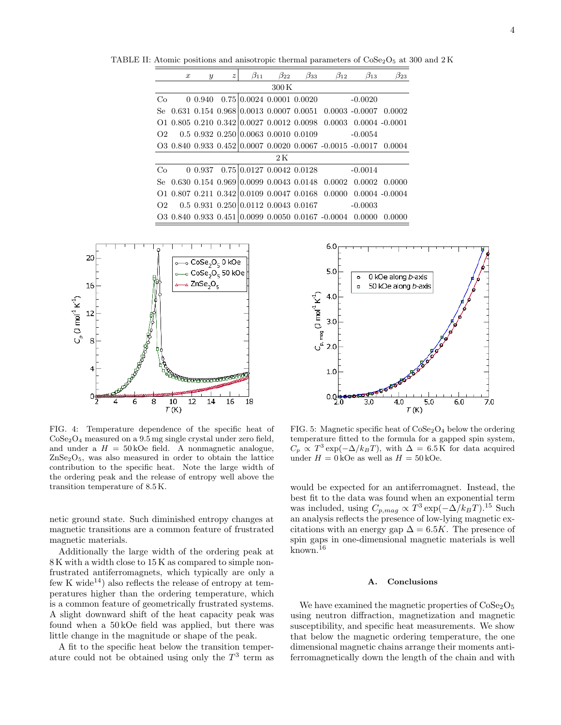TABLE II: Atomic positions and anisotropic thermal parameters of  $\text{Cose}_2\text{O}_5$  at 300 and 2 K

|                   | $\boldsymbol{x}$ | $\boldsymbol{y}$ | $\boldsymbol{z}$ | $\beta_{11}$                                        | $\beta_{22}$ | $\beta_{33}$ | $\beta_{12}$                                                                    | $\beta_{13}$ | $\beta_{23}$      |  |  |
|-------------------|------------------|------------------|------------------|-----------------------------------------------------|--------------|--------------|---------------------------------------------------------------------------------|--------------|-------------------|--|--|
| $300\,\mathrm{K}$ |                  |                  |                  |                                                     |              |              |                                                                                 |              |                   |  |  |
| Co                |                  | 0.940            |                  | $0.75 \mid 0.0024$ 0.0001 0.0020                    |              |              |                                                                                 | $-0.0020$    |                   |  |  |
| Se.               |                  |                  |                  |                                                     |              |              | $0.631$ $0.154$ $0.968$ $ 0.0013$ $0.0007$ $0.0051$ $0.0003$ $-0.0007$ $0.0002$ |              |                   |  |  |
|                   |                  |                  |                  | 0.0098 0.210 0.342 0.0027 0.0012 0.0098             |              |              | 0.0003                                                                          |              | $0.0004 - 0.0001$ |  |  |
| O2                |                  |                  |                  | 0.5 0.932 0.250 0.0063 0.0010 0.0109                |              |              |                                                                                 | $-0.0054$    |                   |  |  |
|                   |                  |                  |                  |                                                     |              |              | $Q30.8400.9330.452 0.00070.00200.0067-0.0015-0.00170.0004$                      |              |                   |  |  |
| 2K                |                  |                  |                  |                                                     |              |              |                                                                                 |              |                   |  |  |
| Co                |                  | 0.937            |                  | 0.75 0.0127 0.0042 0.0128                           |              |              |                                                                                 | $-0.0014$    |                   |  |  |
| Se.               |                  |                  |                  | $0.630$ $0.154$ $0.969$ $ 0.0099$ $0.0043$ $0.0148$ |              |              | 0.0002                                                                          |              | 0.0002 0.0000     |  |  |
|                   |                  |                  |                  | 0.01 0.807 0.211 0.342 0.0109 0.0047 0.0168         |              |              | 0.0000                                                                          |              | $0.0004 - 0.0004$ |  |  |
| O2                |                  |                  |                  | 0.5 0.931 0.250 0.0112 0.0043 0.0167                |              |              |                                                                                 | $-0.0003$    |                   |  |  |
|                   |                  |                  |                  |                                                     |              |              | 03 0.840 0.933 0.451 0.0099 0.0050 0.0167 -0.0004                               | -0.0000      | 0.0000            |  |  |



FIG. 4: Temperature dependence of the specific heat of CoSe2O<sup>4</sup> measured on a 9.5 mg single crystal under zero field, and under a  $H = 50 kOe$  field. A nonmagnetic analogue, ZnSe2O5, was also measured in order to obtain the lattice contribution to the specific heat. Note the large width of the ordering peak and the release of entropy well above the transition temperature of 8.5 K.

netic ground state. Such diminished entropy changes at magnetic transitions are a common feature of frustrated magnetic materials.

Additionally the large width of the ordering peak at 8 K with a width close to 15 K as compared to simple nonfrustrated antiferromagnets, which typically are only a few K wide<sup>14</sup>) also reflects the release of entropy at temperatures higher than the ordering temperature, which is a common feature of geometrically frustrated systems. A slight downward shift of the heat capacity peak was found when a 50 kOe field was applied, but there was little change in the magnitude or shape of the peak.

A fit to the specific heat below the transition temperature could not be obtained using only the  $T^3$  term as



FIG. 5: Magnetic specific heat of  $\text{CoSe}_2\text{O}_4$  below the ordering temperature fitted to the formula for a gapped spin system,  $C_p \propto T^3 \exp(-\Delta/k_B T)$ , with  $\Delta = 6.5 \text{ K}$  for data acquired under  $H = 0$  kOe as well as  $H = 50$  kOe.

would be expected for an antiferromagnet. Instead, the best fit to the data was found when an exponential term was included, using  $C_{p,mag} \propto T^3 \exp(-\Delta/k_B T)^{15}$  Such an analysis reflects the presence of low-lying magnetic excitations with an energy gap  $\Delta = 6.5K$ . The presence of spin gaps in one-dimensional magnetic materials is well known.<sup>16</sup>

#### A. Conclusions

We have examined the magnetic properties of  $\text{CoSe}_2\text{O}_5$ using neutron diffraction, magnetization and magnetic susceptibility, and specific heat measurements. We show that below the magnetic ordering temperature, the one dimensional magnetic chains arrange their moments antiferromagnetically down the length of the chain and with